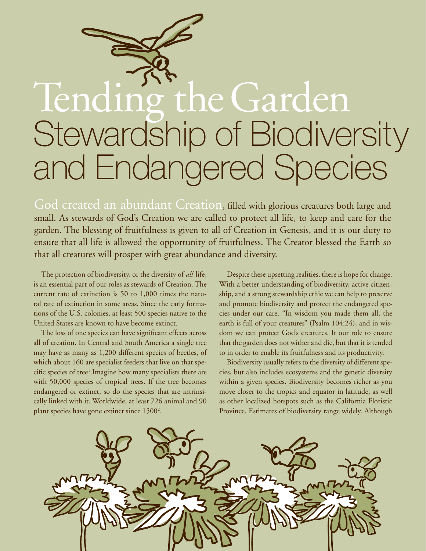# Stewardship of Biodiversity and Endangered Species Tending the Garden

God created an abundant Creation, filled with glorious creatures both large and small. As stewards of God's Creation we are called to protect all life, to keep and care for the garden. The blessing of fruitfulness is given to all of Creation in Genesis, and it is our duty to ensure that all life is allowed the opportunity of fruitfulness. The Creator blessed the Earth so that all creatures will prosper with great abundance and diversity.

The protection of biodiversity, or the diversity of *all* life, is an essential part of our roles as stewards of Creation. The current rate of extinction is 50 to 1,000 times the natural rate of extinction in some areas. Since the early formations of the U.S. colonies, at least 500 species native to the United States are known to have become extinct.

The loss of one species can have significant effects across all of creation. In Central and South America a single tree may have as many as 1,200 different species of beetles, of which about 160 are specialist feeders that live on that specific species of tree<sup>1</sup>. Imagine how many specialists there are with 50,000 species of tropical trees. If the tree becomes endangered or extinct, so do the species that are intrinsically linked with it. Worldwide, at least 726 animal and 90 plant species have gone extinct since 1500<sup>2</sup>.

Despite these upsetting realities, there is hope for change. With a better understanding of biodiversity, active citizenship, and a strong stewardship ethic we can help to preserve and promote biodiversity and protect the endangered species under our care. "In wisdom you made them all, the earth is full of your creatures" (Psalm 104:24), and in wisdom we can protect God's creatures. It our role to ensure that the garden does not wither and die, but that it is tended to in order to enable its fruitfulness and its productivity.

Biodiversity usually refers to the diversity of different species, but also includes ecosystems and the genetic diversity within a given species. Biodiversity becomes richer as you move closer to the tropics and equator in latitude, as well as other localized hotspots such as the California Floristic Province. Estimates of biodiversity range widely. Although

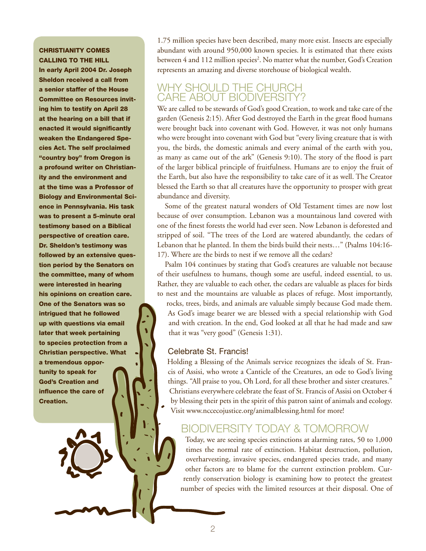### **CHRISTIANITY COMES** Calling to the Hill

In early April 2004 Dr. Joseph Sheldon received a call from a senior staffer of the House Committee on Resources inviting him to testify on April 28 at the hearing on a bill that if enacted it would significantly weaken the Endangered Species Act. The self proclaimed "country boy" from Oregon is a profound writer on Christianity and the environment and at the time was a Professor of Biology and Environmental Science in Pennsylvania. His task was to present a 5-minute oral testimony based on a Biblical perspective of creation care. Dr. Sheldon's testimony was followed by an extensive question period by the Senators on the committee, many of whom were interested in hearing his opinions on creation care. One of the Senators was so intrigued that he followed up with questions via email later that week pertaining to species protection from a Christian perspective. What a tremendous opportunity to speak for God's Creation and influence the care of Creation.

1.75 million species have been described, many more exist. Insects are especially abundant with around 950,000 known species. It is estimated that there exists between 4 and 112 million species<sup>2</sup>. No matter what the number, God's Creation represents an amazing and diverse storehouse of biological wealth.

### Why should the Church CARE ABOUT BIODIVERSITY?

We are called to be stewards of God's good Creation, to work and take care of the garden (Genesis 2:15). After God destroyed the Earth in the great flood humans were brought back into covenant with God. However, it was not only humans who were brought into covenant with God but "every living creature that is with you, the birds, the domestic animals and every animal of the earth with you, as many as came out of the ark" (Genesis 9:10). The story of the flood is part of the larger biblical principle of fruitfulness. Humans are to enjoy the fruit of the Earth, but also have the responsibility to take care of it as well. The Creator blessed the Earth so that all creatures have the opportunity to prosper with great abundance and diversity.

Some of the greatest natural wonders of Old Testament times are now lost because of over consumption. Lebanon was a mountainous land covered with one of the finest forests the world had ever seen. Now Lebanon is deforested and stripped of soil. "The trees of the Lord are watered abundantly, the cedars of Lebanon that he planted. In them the birds build their nests…" (Psalms 104:16- 17). Where are the birds to nest if we remove all the cedars?

Psalm 104 continues by stating that God's creatures are valuable not because of their usefulness to humans, though some are useful, indeed essential, to us. Rather, they are valuable to each other, the cedars are valuable as places for birds to nest and the mountains are valuable as places of refuge. Most importantly,

rocks, trees, birds, and animals are valuable simply because God made them. As God's image bearer we are blessed with a special relationship with God and with creation. In the end, God looked at all that he had made and saw that it was "very good" (Genesis 1:31).

### Celebrate St. Francis!

Holding a Blessing of the Animals service recognizes the ideals of St. Francis of Assisi, who wrote a Canticle of the Creatures, an ode to God's living things. "All praise to you, Oh Lord, for all these brother and sister creatures." Christians everywhere celebrate the feast of St. Francis of Assisi on October 4 by blessing their pets in the spirit of this patron saint of animals and ecology. Visit www.nccecojustice.org/animalblessing.html for more!

### Biodiversity Today & Tomorrow

Today, we are seeing species extinctions at alarming rates, 50 to 1,000 times the normal rate of extinction. Habitat destruction, pollution, overharvesting, invasive species, endangered species trade, and many other factors are to blame for the current extinction problem. Currently conservation biology is examining how to protect the greatest number of species with the limited resources at their disposal. One of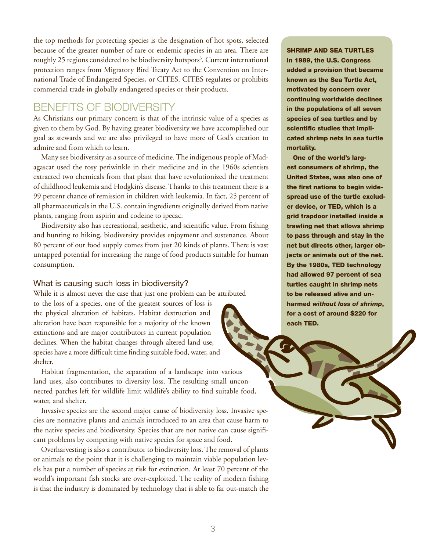the top methods for protecting species is the designation of hot spots, selected because of the greater number of rare or endemic species in an area. There are roughly 25 regions considered to be biodiversity hotspots<sup>3</sup>. Current international protection ranges from Migratory Bird Treaty Act to the Convention on International Trade of Endangered Species, or CITES. CITES regulates or prohibits commercial trade in globally endangered species or their products.

### Benefits of Biodiversity

As Christians our primary concern is that of the intrinsic value of a species as given to them by God. By having greater biodiversity we have accomplished our goal as stewards and we are also privileged to have more of God's creation to admire and from which to learn.

Many see biodiversity as a source of medicine. The indigenous people of Madagascar used the rosy periwinkle in their medicine and in the 1960s scientists extracted two chemicals from that plant that have revolutionized the treatment of childhood leukemia and Hodgkin's disease. Thanks to this treatment there is a 99 percent chance of remission in children with leukemia. In fact, 25 percent of all pharmaceuticals in the U.S. contain ingredients originally derived from native plants, ranging from aspirin and codeine to ipecac.

Biodiversity also has recreational, aesthetic, and scientific value. From fishing and hunting to hiking, biodiversity provides enjoyment and sustenance. About 80 percent of our food supply comes from just 20 kinds of plants. There is vast untapped potential for increasing the range of food products suitable for human consumption.

### What is causing such loss in biodiversity?

While it is almost never the case that just one problem can be attributed

to the loss of a species, one of the greatest sources of loss is the physical alteration of habitats. Habitat destruction and alteration have been responsible for a majority of the known extinctions and are major contributors in current population declines. When the habitat changes through altered land use, species have a more difficult time finding suitable food, water, and shelter.

Habitat fragmentation, the separation of a landscape into various land uses, also contributes to diversity loss. The resulting small unconnected patches left for wildlife limit wildlife's ability to find suitable food, water, and shelter.

Invasive species are the second major cause of biodiversity loss. Invasive species are nonnative plants and animals introduced to an area that cause harm to the native species and biodiversity. Species that are not native can cause significant problems by competing with native species for space and food.

Overharvesting is also a contributor to biodiversity loss. The removal of plants or animals to the point that it is challenging to maintain viable population levels has put a number of species at risk for extinction. At least 70 percent of the world's important fish stocks are over-exploited. The reality of modern fishing is that the industry is dominated by technology that is able to far out-match the

### Shrimp and Sea Turtles

In 1989, the U.S. Congress added a provision that became known as the Sea Turtle Act, motivated by concern over continuing worldwide declines in the populations of all seven species of sea turtles and by scientific studies that implicated shrimp nets in sea turtle mortality.

One of the world's largest consumers of shrimp, the United States, was also one of the first nations to begin widespread use of the turtle excluder device, or TED, which is a grid trapdoor installed inside a trawling net that allows shrimp to pass through and stay in the net but directs other, larger objects or animals out of the net. By the 1980s, TED technology had allowed 97 percent of sea turtles caught in shrimp nets to be released alive and unharmed *without loss of shrimp*, for a cost of around \$220 for each TED.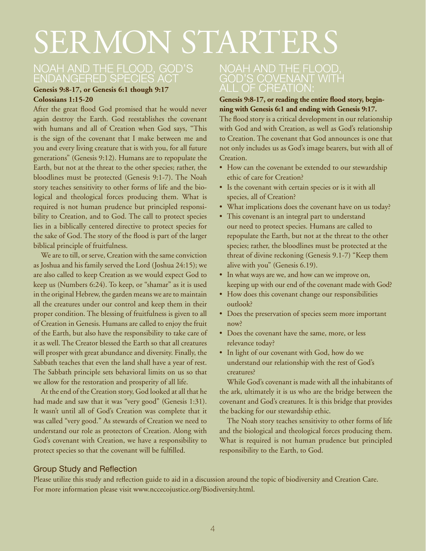## SERMON STARTERS

### Noah and the Flood, God's Endangered Species Act

### **Genesis 9:8-17, or Genesis 6:1 though 9:17 Colossians 1:15-20**

After the great flood God promised that he would never again destroy the Earth. God reestablishes the covenant with humans and all of Creation when God says, "This is the sign of the covenant that I make between me and you and every living creature that is with you, for all future generations" (Genesis 9:12). Humans are to repopulate the Earth, but not at the threat to the other species; rather, the bloodlines must be protected (Genesis 9:1-7). The Noah story teaches sensitivity to other forms of life and the biological and theological forces producing them. What is required is not human prudence but principled responsibility to Creation, and to God. The call to protect species lies in a biblically centered directive to protect species for the sake of God. The story of the flood is part of the larger biblical principle of fruitfulness.

We are to till, or serve, Creation with the same conviction as Joshua and his family served the Lord (Joshua 24:15); we are also called to keep Creation as we would expect God to keep us (Numbers 6:24). To keep, or "shamar" as it is used in the original Hebrew, the garden means we are to maintain all the creatures under our control and keep them in their proper condition. The blessing of fruitfulness is given to all of Creation in Genesis. Humans are called to enjoy the fruit of the Earth, but also have the responsibility to take care of it as well. The Creator blessed the Earth so that all creatures will prosper with great abundance and diversity. Finally, the Sabbath teaches that even the land shall have a year of rest. The Sabbath principle sets behavioral limits on us so that we allow for the restoration and prosperity of all life.

At the end of the Creation story, God looked at all that he had made and saw that it was "very good" (Genesis 1:31). It wasn't until all of God's Creation was complete that it was called "very good." As stewards of Creation we need to understand our role as protectors of Creation. Along with God's covenant with Creation, we have a responsibility to protect species so that the covenant will be fulfilled.

### Noah and the Flood, God's covenant with all of creation:

### **Genesis 9:8-17, or reading the entire flood story, beginning with Genesis 6:1 and ending with Genesis 9:17.**

The flood story is a critical development in our relationship with God and with Creation, as well as God's relationship to Creation. The covenant that God announces is one that not only includes us as God's image bearers, but with all of Creation.

- How can the covenant be extended to our stewardship ethic of care for Creation?
- • Is the covenant with certain species or is it with all species, all of Creation?
- What implications does the covenant have on us today?
- This covenant is an integral part to understand our need to protect species. Humans are called to repopulate the Earth, but not at the threat to the other species; rather, the bloodlines must be protected at the threat of divine reckoning (Genesis 9.1-7) "Keep them alive with you" (Genesis 6.19).
- In what ways are we, and how can we improve on, keeping up with our end of the covenant made with God?
- • How does this covenant change our responsibilities outlook?
- Does the preservation of species seem more important now?
- Does the covenant have the same, more, or less relevance today?
- In light of our covenant with God, how do we understand our relationship with the rest of God's creatures?

While God's covenant is made with all the inhabitants of the ark, ultimately it is us who are the bridge between the covenant and God's creatures. It is this bridge that provides the backing for our stewardship ethic.

The Noah story teaches sensitivity to other forms of life and the biological and theological forces producing them. What is required is not human prudence but principled responsibility to the Earth, to God.

### Group Study and Reflection

Please utilize this study and reflection guide to aid in a discussion around the topic of biodiversity and Creation Care. For more information please visit www.nccecojustice.org/Biodiversity.html.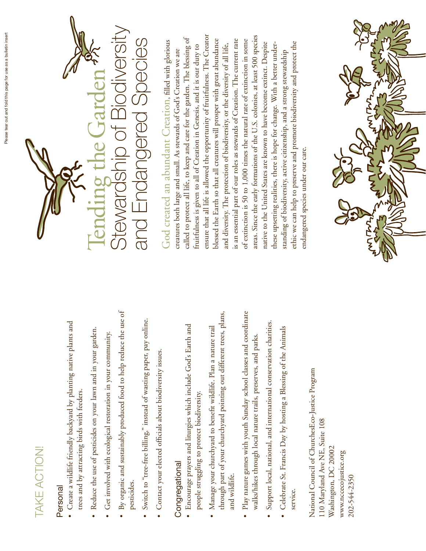## TAKE ACTION! Take Action!

### Personal Personal

- · Create a wildlife friendly backyard by planting native plants and  $\bullet$  Create a wildlife friendly backyard by planting native plants and trees and by attracting birds with feeders. trees and by attracting birds with feeders.
- Reduce the use of pesticides on your lawn and in your garden. • Reduce the use of pesticides on your lawn and in your garden.
- · Get involved with ecological restoration in your community. • Get involved with ecological restoration in your community.
- By organic and sustainably produced food to help reduce the use of • By organic and sustainably produced food to help reduce the use of pesticides.
- Switch to "tree-free billing," instead of wasting paper, pay online. • Switch to "tree-free billing," instead of wasting paper, pay online.
- · Contact your elected officials about biodiversity issues. • Contact your elected officials about biodiversity issues.

### Congregational Congregational

- · Encourage prayers and liturgies which include God's Earth and • Encourage prayers and liturgies which include God's Earth and people struggling to protect biodiversity. people struggling to protect biodiversity.
- through part of your churchyard pointing out different trees, plans, through part of your churchyard pointing out different trees, plans, · Manage your churchyard to benefit wildlife. Plan a nature trail • Manage your churchyard to benefit wildlife. Plan a nature trail and wildlife. and wildlife.
- · Play nature games with youth Sunday school classes and coordinate • Play nature games with youth Sunday school classes and coordinate walks/hikes through local nature trails, preserves, and parks. walks/hikes through local nature trails, preserves, and parks.
- Support local, national, and international conservation charities. • Support local, national, and international conservation charities.
- Celebrate St. Francis Day by hosting a Blessing of the Animals • Celebrate St. Francis Day by hosting a Blessing of the Animals service.

National Council of ChurchesEco-Justice Program National Council of ChurchesEco-Justice Program 110 Maryland Ave NE, Suite 108 110 Maryland Ave NE, Suite 108 Washington, DC 20002 Washington, DC 20002 www.nccecojustice.org www.nccecojustice.org 202-544-2350 202-544-2350



ensure that all life is allowed the opportunity of fruitfulness. The Creator areas. Since the early formations of the U.S. colonies, at least 500 species ensure that all life is allowed the opportunity of fruitfulness. The Creator areas. Since the early formations of the U.S. colonies, at least 500 species called to protect all life, to keep and care for the garden. The blessing of called to protect all life, to keep and care for the garden. The blessing of blessed the Earth so that all creatures will prosper with great abundance is an essential part of our roles as stewards of Creation. The current rate blessed the Earth so that all creatures will prosper with great abundance is an essential part of our roles as stewards of Creation. The current rate of extinction is 50 to 1,000 times the natural rate of extinction in some of extinction is 50 to 1,000 times the natural rate of extinction in some God created an abundant Creation, filled with glorious God created an abundant Creation, filled with glorious ethic we can help to preserve and promote biodiversity and protect the native to the United States are known to have become extinct. Despite native to the United States are known to have become extinct. Despite ethic we can help to preserve and promote biodiversity and protect the and diversity. The protection of biodiversity, or the diversity of all life, these upsetting realities, there is hope for change. With a better underthese upsetting realities, there is hope for change. With a better underfruitfulness is given to all of Creation in Genesis, and it is our duty to fruitfulness is given to all of Creation in Genesis, and it is our duty to and diversity. The protection of biodiversity, or the diversity of all life, creatures both large and small. As stewards of God's Creation we are creatures both large and small. As stewards of God's Creation we are standing of biodiversity, active citizenship, and a strong stewardship standing of biodiversity, active citizenship, and a strong stewardship endangered species under our care. endangered species under our care.

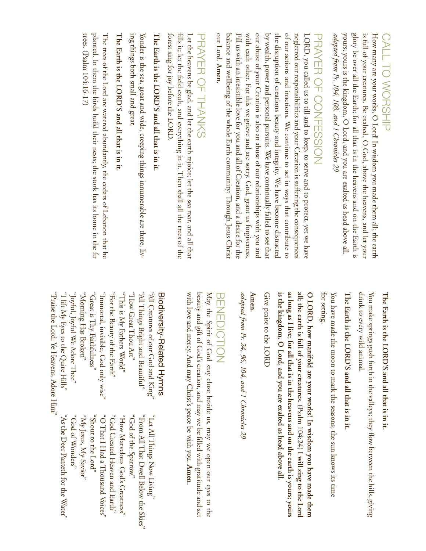## Call to Worship **CALL TO WORSHIP**

yours; yours is the kingdom, O Lord, and you are exalted as head above all. glory be over all the Earth; for all that is in the heavens and on the Earth is is full of your creatures. Be exalted, O God, above the heavens, and let your How many are your works, O Lord! In wisdom you made them all; the earth adapted from Ps. 104, 108, and 1 Chronicles 29 yours; yours is the kingdom, O *adapted from Ps. 104, 108, and 1 Chronicles 29* glory be over all the Earth; is full of your creatures. Be exalted, O God, above the heavens, and let your How many are your works, O Lord! In wisdom you made them all; the earth for all that is in the heavens and on the Earth is Lord, and you are exalted as head above all.

# PRAYER OF CONFESSION RAYER OF CONFESSION

our Lord. Amen. with each other. For this we grieve and are sorry. God, grant us forgiveness our abuse of your Creation is also an abuse of our relationships with you and by wealth, power and personal pursuits. We have continually failed to see that the disruption of creations beauty and integrity. We have become distracted of our actions and inactions. We continue to act in ways that contribute to neglected our responsibilities and your Creation is suffering the consequences balance and wellbeing of the whole Earth community; Through Jesus Christ Fill us with an irresistible love for you and all of Creation, and a desire for the with each other. For this we grieve and are sorry. God, grant us forgiveness. LORD, you called us to till and to keep, to serve and to protect, yet we have our Lord. balance and wellbeing of the whole Earth community; Through Jesus Christ Fill us with an irresistible love for you and all of Creation, and a desire for the our abuse of your Creation is also an abuse of our relationships with you and by wealth, power and personal pursuits. We have continually failed to see that the disruption of creations beauty and integrity. We have become distracted of our actions and inactions. We continue to act in ways that contribute to neglected our responsibilities and your Creation is suffering the consequences LORD, you called us to till and to keep, to serve and to protect, yet we have

## PRAYER OF THANKS Prayer of Thanks

forest sing for joy before the LORD. fills it; let the field exult, and everything in it. Then shall all the trees of the forest sing for joy before the LORD. fills it; let the field exult, and everything in it. Then shall all the trees of the Let the heavens be glad, and let the earth rejoice; let the sea roar, and all that Let the heavens be glad, and let the earth rejoice; let the sea roar, and all that

# The Earth is the LORD'S and all that is in it. **The Earth is the LORD'S and all that is in it.**

ing things both small and great. Yonder is the sea, great and wide, creeping things innumerable are there, liv-Yonder is the sea, great and wide, creeping things innumerable are there, liv ing things both small and great.

# The Earth is the LORD'S and all that is in it **The Earth is the LORD'S and all that is in it.**

planted. In them the birds build their nests; the stork has its home in the fir trees. (Psalm  $104:16-17$ ) The trees of the Lord are watered abundantly, the cedars of Lebanon that he The trees of the Lord are watered abundantly, the cedars of Lebanon that he trees. (Psalm  $104:16-17$ ) planted. In them the birds build their nests; the stork has its home in the fir

# **The Earth is the LORD'S and all that is in it.** The Earth is the LORD'S and all that is in it.

drink to every wild animal. drink to every wild animal. You make springs gush forth in the valleys; they flow between the hills, giving You make springs gush forth in the valleys; they flow between the hills, giving

# **The Earth is the LORD'S and all that is in it.**  The Earth is the LORD'S and all that is in it

for setting. You have made the moon to mark the seasons; the sun knows its time You have made the moon to mark the seasons; the sun knows its time

is the kingdom, O Lord, and you are exalted as head above all as long as I live; for all that is in the heavens and on the earth is yours; yours all; the earth is full of your creatures. (Psalm  $104:24$ ) I will sing to the Lord O LORD, how manifold are your works! In wisdom you have made them **is the kingdom, O Lord, and you are exalted as head above all. as long as I live; for all that is in the heavens and on the earth is yours; yours all; the earth is full of your creatures. O LORD, how manifold are your works! In wisdom you have made them**  (Psalm 104:24) **I will sing to the Lord** 

Give praise to the LORD Give praise to the LORD

### **Amen.**

adapted from Ps. 24, 96, 104, and 1 Chronicles 29 *adapted from Ps. 24, 96, 104, and 1 Chronicles 29*

### $\overline{\mathbb{U}}$ en<br>EDI ction

with love and mercy. And may Christ's peace be with you. beauty and gift of God's creation, and may we be filled with gratitude and act beauty and gift of God's creation, and may we be filled with gratitude and act May the Spirit of God stay close beside us, may we open our eyes to the May the Spirit of God stay close beside us, may we open our eyes to the **Amen**.

## Biodiversity-Related Hymns Biodiversity-Related Hymns

"Joyful, Joyful We Adore Thee" "Great is Thy Faithfulness" "Immortal, invisible, God only wise" "This is My Fathers World" "How Great Thou Art" "All Things Bright and Beautiful" "I lift My Eyes to the Quite Hills" "I lift My Eyes to the Quite Hills" "Joyful, Joyful We Adore Thee" "Morning Has Broken" "Morning Has Broken" "Great is Thy Faithfulness" "Immortal, invisible, God only wise" "For the Beauty of the Earth" "This is My Fathers World" "How Great Thou Art" "All Things Bright and Beautiful"  $^{\circ}$ All Creatures of our God and King $^{\circ}$ "For the Beauty of the Earth" "All Creatures of our God and King"

> "God of Wonders" "Ny Jesus, My Savior" "Shout to the Lord" "O That I Had a Thousand Voices" "God Created Heaven and Earth" "How Marvelous God's Greatness" " worned athe Sparrow" "From All That Dwell Below the Skies" "Let All Things Now Living" "God of Wonders" "My Jesus, My Savior"  $_{\rm c}$ Shout to the Lord" "O That I Had a Thousand Voices" "God Created Heaven and Earth" "How Marvelous God's Greatness" "God of the Sparrow" "From All That Dwell Below the Skies" "Let All Things Now Living"

"Praise the Lord: Ye Heavens, Adore Him" "Praise the Lord: Ye Heavens, Adore Him'

"As the Deer Panteth for the Water"

As the Deer Panteth for the Water"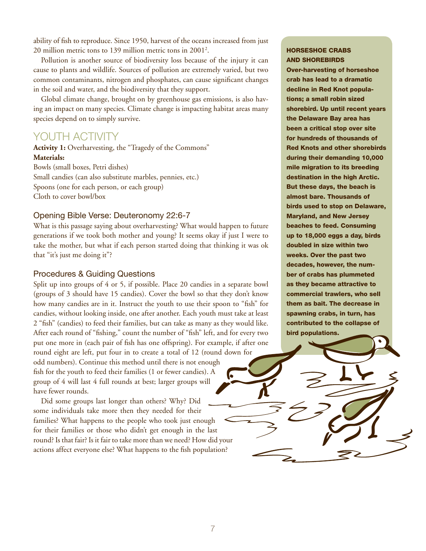ability of fish to reproduce. Since 1950, harvest of the oceans increased from just 20 million metric tons to 139 million metric tons in 20012 .

Pollution is another source of biodiversity loss because of the injury it can cause to plants and wildlife. Sources of pollution are extremely varied, but two common contaminants, nitrogen and phosphates, can cause significant changes in the soil and water, and the biodiversity that they support.

Global climate change, brought on by greenhouse gas emissions, is also having an impact on many species. Climate change is impacting habitat areas many species depend on to simply survive.

### Youth Activity

**Activity 1:** Overharvesting, the "Tragedy of the Commons" **Materials:** Bowls (small boxes, Petri dishes) Small candies (can also substitute marbles, pennies, etc.)

Spoons (one for each person, or each group) Cloth to cover bowl/box

### Opening Bible Verse: Deuteronomy 22:6-7

What is this passage saying about overharvesting? What would happen to future generations if we took both mother and young? It seems okay if just I were to take the mother, but what if each person started doing that thinking it was ok that "it's just me doing it"?

#### Procedures & Guiding Questions

Split up into groups of 4 or 5, if possible. Place 20 candies in a separate bowl (groups of 3 should have 15 candies). Cover the bowl so that they don't know how many candies are in it. Instruct the youth to use their spoon to "fish" for candies, without looking inside, one after another. Each youth must take at least 2 "fish" (candies) to feed their families, but can take as many as they would like. After each round of "fishing," count the number of "fish" left, and for every two put one more in (each pair of fish has one offspring). For example, if after one round eight are left, put four in to create a total of 12 (round down for

odd numbers). Continue this method until there is not enough fish for the youth to feed their families (1 or fewer candies). A group of 4 will last 4 full rounds at best; larger groups will have fewer rounds.

Did some groups last longer than others? Why? Did some individuals take more then they needed for their families? What happens to the people who took just enough for their families or those who didn't get enough in the last round? Is that fair? Is it fair to take more than we need? How did your actions affect everyone else? What happens to the fish population?

### Horseshoe Crabs and Shorebirds

Over-harvesting of horseshoe crab has lead to a dramatic decline in Red Knot populations; a small robin sized shorebird. Up until recent years the Delaware Bay area has been a critical stop over site for hundreds of thousands of Red Knots and other shorebirds during their demanding 10,000 mile migration to its breeding destination in the high Arctic. But these days, the beach is almost bare. Thousands of birds used to stop on Delaware, Maryland, and New Jersey beaches to feed. Consuming up to 18,000 eggs a day, birds doubled in size within two weeks. Over the past two decades, however, the number of crabs has plummeted as they became attractive to commercial trawlers, who sell them as bait. The decrease in spawning crabs, in turn, has contributed to the collapse of bird populations.